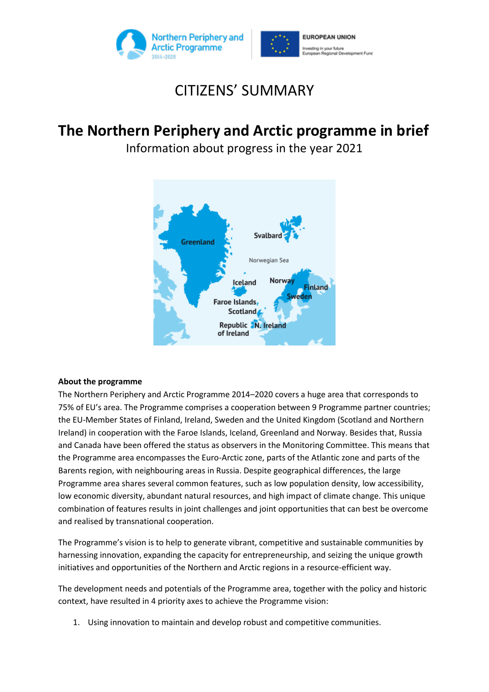



# CITIZENS' SUMMARY

## **The Northern Periphery and Arctic programme in brief**

Information about progress in the year 2021



## **About the programme**

The Northern Periphery and Arctic Programme 2014–2020 covers a huge area that corresponds to 75% of EU's area. The Programme comprises a cooperation between 9 Programme partner countries; the EU-Member States of Finland, Ireland, Sweden and the United Kingdom (Scotland and Northern Ireland) in cooperation with the Faroe Islands, Iceland, Greenland and Norway. Besides that, Russia and Canada have been offered the status as observers in the Monitoring Committee. This means that the Programme area encompasses the Euro-Arctic zone, parts of the Atlantic zone and parts of the Barents region, with neighbouring areas in Russia. Despite geographical differences, the large Programme area shares several common features, such as low population density, low accessibility, low economic diversity, abundant natural resources, and high impact of climate change. This unique combination of features results in joint challenges and joint opportunities that can best be overcome and realised by transnational cooperation.

The Programme's vision is to help to generate vibrant, competitive and sustainable communities by harnessing innovation, expanding the capacity for entrepreneurship, and seizing the unique growth initiatives and opportunities of the Northern and Arctic regions in a resource-efficient way.

The development needs and potentials of the Programme area, together with the policy and historic context, have resulted in 4 priority axes to achieve the Programme vision:

1. Using innovation to maintain and develop robust and competitive communities.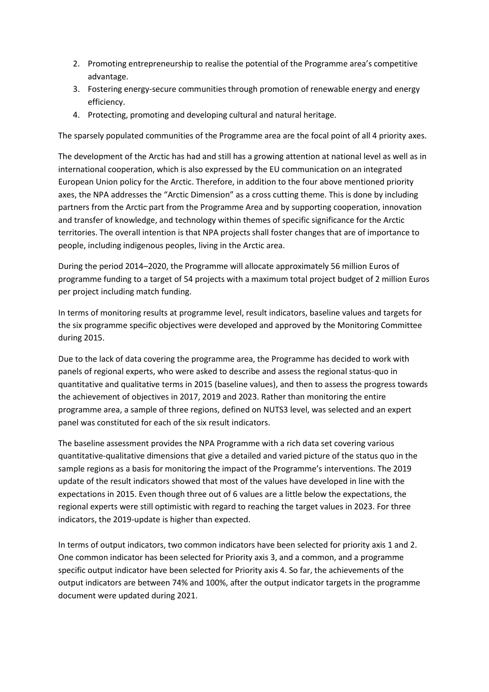- 2. Promoting entrepreneurship to realise the potential of the Programme area's competitive advantage.
- 3. Fostering energy-secure communities through promotion of renewable energy and energy efficiency.
- 4. Protecting, promoting and developing cultural and natural heritage.

The sparsely populated communities of the Programme area are the focal point of all 4 priority axes.

The development of the Arctic has had and still has a growing attention at national level as well as in international cooperation, which is also expressed by the EU communication on an integrated European Union policy for the Arctic. Therefore, in addition to the four above mentioned priority axes, the NPA addresses the "Arctic Dimension" as a cross cutting theme. This is done by including partners from the Arctic part from the Programme Area and by supporting cooperation, innovation and transfer of knowledge, and technology within themes of specific significance for the Arctic territories. The overall intention is that NPA projects shall foster changes that are of importance to people, including indigenous peoples, living in the Arctic area.

During the period 2014–2020, the Programme will allocate approximately 56 million Euros of programme funding to a target of 54 projects with a maximum total project budget of 2 million Euros per project including match funding.

In terms of monitoring results at programme level, result indicators, baseline values and targets for the six programme specific objectives were developed and approved by the Monitoring Committee during 2015.

Due to the lack of data covering the programme area, the Programme has decided to work with panels of regional experts, who were asked to describe and assess the regional status-quo in quantitative and qualitative terms in 2015 (baseline values), and then to assess the progress towards the achievement of objectives in 2017, 2019 and 2023. Rather than monitoring the entire programme area, a sample of three regions, defined on NUTS3 level, was selected and an expert panel was constituted for each of the six result indicators.

The baseline assessment provides the NPA Programme with a rich data set covering various quantitative-qualitative dimensions that give a detailed and varied picture of the status quo in the sample regions as a basis for monitoring the impact of the Programme's interventions. The 2019 update of the result indicators showed that most of the values have developed in line with the expectations in 2015. Even though three out of 6 values are a little below the expectations, the regional experts were still optimistic with regard to reaching the target values in 2023. For three indicators, the 2019-update is higher than expected.

In terms of output indicators, two common indicators have been selected for priority axis 1 and 2. One common indicator has been selected for Priority axis 3, and a common, and a programme specific output indicator have been selected for Priority axis 4. So far, the achievements of the output indicators are between 74% and 100%, after the output indicator targets in the programme document were updated during 2021.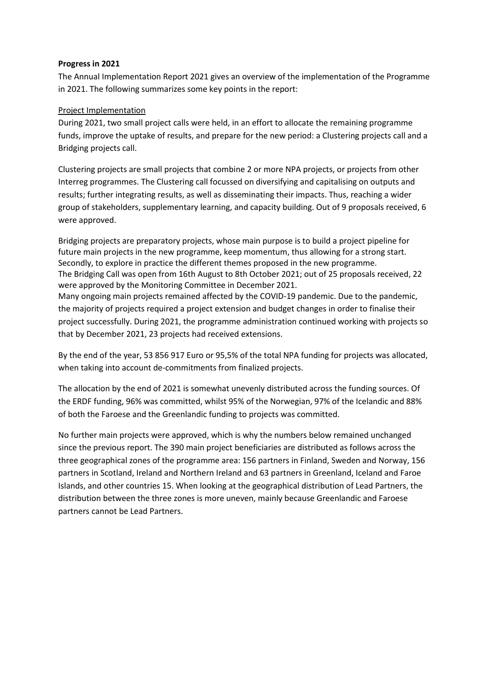## **Progress in 2021**

The Annual Implementation Report 2021 gives an overview of the implementation of the Programme in 2021. The following summarizes some key points in the report:

## Project Implementation

During 2021, two small project calls were held, in an effort to allocate the remaining programme funds, improve the uptake of results, and prepare for the new period: a Clustering projects call and a Bridging projects call.

Clustering projects are small projects that combine 2 or more NPA projects, or projects from other Interreg programmes. The Clustering call focussed on diversifying and capitalising on outputs and results; further integrating results, as well as disseminating their impacts. Thus, reaching a wider group of stakeholders, supplementary learning, and capacity building. Out of 9 proposals received, 6 were approved.

Bridging projects are preparatory projects, whose main purpose is to build a project pipeline for future main projects in the new programme, keep momentum, thus allowing for a strong start. Secondly, to explore in practice the different themes proposed in the new programme. The Bridging Call was open from 16th August to 8th October 2021; out of 25 proposals received, 22 were approved by the Monitoring Committee in December 2021. Many ongoing main projects remained affected by the COVID-19 pandemic. Due to the pandemic, the majority of projects required a project extension and budget changes in order to finalise their project successfully. During 2021, the programme administration continued working with projects so that by December 2021, 23 projects had received extensions.

By the end of the year, 53 856 917 Euro or 95,5% of the total NPA funding for projects was allocated, when taking into account de-commitments from finalized projects.

The allocation by the end of 2021 is somewhat unevenly distributed across the funding sources. Of the ERDF funding, 96% was committed, whilst 95% of the Norwegian, 97% of the Icelandic and 88% of both the Faroese and the Greenlandic funding to projects was committed.

No further main projects were approved, which is why the numbers below remained unchanged since the previous report. The 390 main project beneficiaries are distributed as follows across the three geographical zones of the programme area: 156 partners in Finland, Sweden and Norway, 156 partners in Scotland, Ireland and Northern Ireland and 63 partners in Greenland, Iceland and Faroe Islands, and other countries 15. When looking at the geographical distribution of Lead Partners, the distribution between the three zones is more uneven, mainly because Greenlandic and Faroese partners cannot be Lead Partners.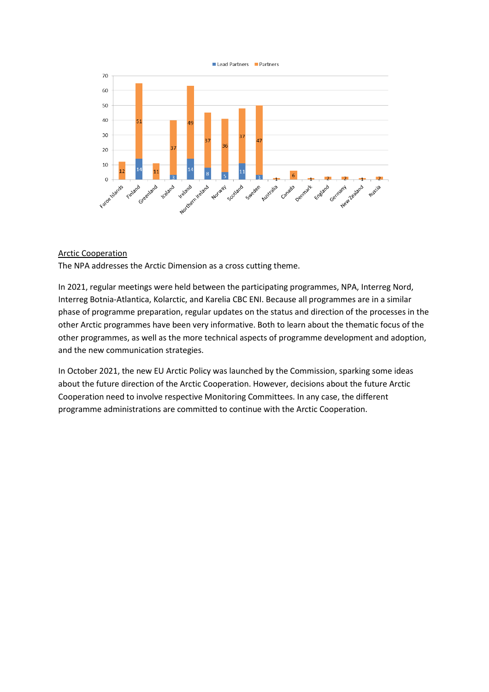



#### Arctic Cooperation

The NPA addresses the Arctic Dimension as a cross cutting theme.

In 2021, regular meetings were held between the participating programmes, NPA, Interreg Nord, Interreg Botnia-Atlantica, Kolarctic, and Karelia CBC ENI. Because all programmes are in a similar phase of programme preparation, regular updates on the status and direction of the processes in the other Arctic programmes have been very informative. Both to learn about the thematic focus of the other programmes, as well as the more technical aspects of programme development and adoption, and the new communication strategies.

In October 2021, the new EU Arctic Policy was launched by the Commission, sparking some ideas about the future direction of the Arctic Cooperation. However, decisions about the future Arctic Cooperation need to involve respective Monitoring Committees. In any case, the different programme administrations are committed to continue with the Arctic Cooperation.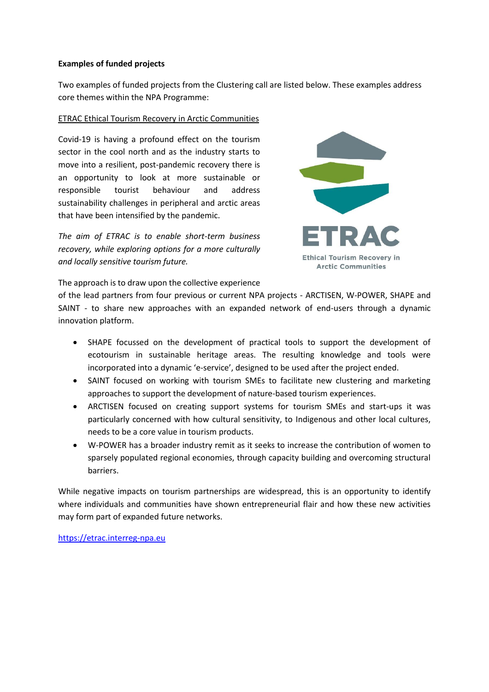### **Examples of funded projects**

Two examples of funded projects from the Clustering call are listed below. These examples address core themes within the NPA Programme:

### ETRAC Ethical Tourism Recovery in Arctic Communities

Covid-19 is having a profound effect on the tourism sector in the cool north and as the industry starts to move into a resilient, post-pandemic recovery there is an opportunity to look at more sustainable or responsible tourist behaviour and address sustainability challenges in peripheral and arctic areas that have been intensified by the pandemic.

*The aim of ETRAC is to enable short-term business recovery, while exploring options for a more culturally and locally sensitive tourism future.*



The approach is to draw upon the collective experience

of the lead partners from four previous or current NPA projects - ARCTISEN, W-POWER, SHAPE and SAINT - to share new approaches with an expanded network of end-users through a dynamic innovation platform.

- SHAPE focussed on the development of practical tools to support the development of ecotourism in sustainable heritage areas. The resulting knowledge and tools were incorporated into a dynamic 'e-service', designed to be used after the project ended.
- SAINT focused on working with tourism SMEs to facilitate new clustering and marketing approaches to support the development of nature-based tourism experiences.
- ARCTISEN focused on creating support systems for tourism SMEs and start-ups it was particularly concerned with how cultural sensitivity, to Indigenous and other local cultures, needs to be a core value in tourism products.
- W-POWER has a broader industry remit as it seeks to increase the contribution of women to sparsely populated regional economies, through capacity building and overcoming structural barriers.

While negative impacts on tourism partnerships are widespread, this is an opportunity to identify where individuals and communities have shown entrepreneurial flair and how these new activities may form part of expanded future networks.

[https://etrac.interreg-npa.eu](https://etrac.interreg-npa.eu/)